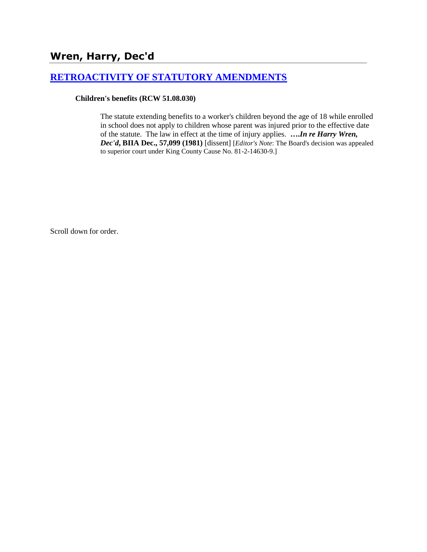# **[RETROACTIVITY OF STATUTORY AMENDMENTS](http://www.biia.wa.gov/SDSubjectIndex.html#RETROACTIVITY_OF_STATUTORY_AMENDMENTS)**

### **Children's benefits (RCW 51.08.030)**

The statute extending benefits to a worker's children beyond the age of 18 while enrolled in school does not apply to children whose parent was injured prior to the effective date of the statute. The law in effect at the time of injury applies. **….***In re Harry Wren, Dec'd***, BIIA Dec., 57,099 (1981)** [dissent] [*Editor's Note*: The Board's decision was appealed to superior court under King County Cause No. 81-2-14630-9.]

Scroll down for order.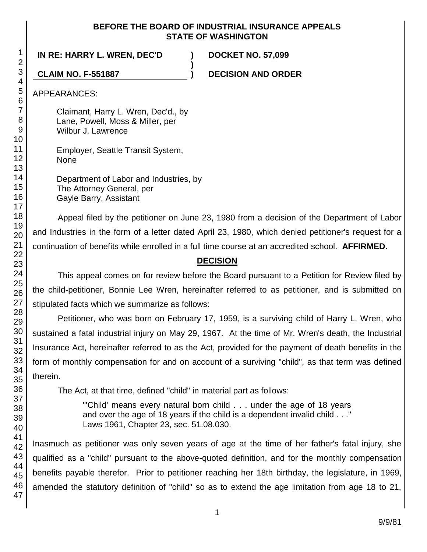## **BEFORE THE BOARD OF INDUSTRIAL INSURANCE APPEALS STATE OF WASHINGTON**

**)**

**IN RE: HARRY L. WREN, DEC'D ) DOCKET NO. 57,099**

**CLAIM NO. F-551887 ) DECISION AND ORDER**

APPEARANCES:

Claimant, Harry L. Wren, Dec'd., by Lane, Powell, Moss & Miller, per Wilbur J. Lawrence

Employer, Seattle Transit System, None

Department of Labor and Industries, by The Attorney General, per Gayle Barry, Assistant

Appeal filed by the petitioner on June 23, 1980 from a decision of the Department of Labor and Industries in the form of a letter dated April 23, 1980, which denied petitioner's request for a continuation of benefits while enrolled in a full time course at an accredited school. **AFFIRMED.**

# **DECISION**

This appeal comes on for review before the Board pursuant to a Petition for Review filed by the child-petitioner, Bonnie Lee Wren, hereinafter referred to as petitioner, and is submitted on stipulated facts which we summarize as follows:

Petitioner, who was born on February 17, 1959, is a surviving child of Harry L. Wren, who sustained a fatal industrial injury on May 29, 1967. At the time of Mr. Wren's death, the Industrial Insurance Act, hereinafter referred to as the Act, provided for the payment of death benefits in the form of monthly compensation for and on account of a surviving "child", as that term was defined therein.

The Act, at that time, defined "child" in material part as follows:

"'Child' means every natural born child . . . under the age of 18 years and over the age of 18 years if the child is a dependent invalid child . . ." Laws 1961, Chapter 23, sec. 51.08.030.

Inasmuch as petitioner was only seven years of age at the time of her father's fatal injury, she qualified as a "child" pursuant to the above-quoted definition, and for the monthly compensation benefits payable therefor. Prior to petitioner reaching her 18th birthday, the legislature, in 1969, amended the statutory definition of "child" so as to extend the age limitation from age 18 to 21,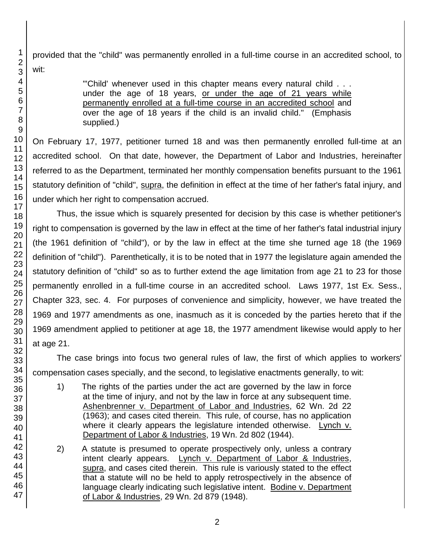provided that the "child" was permanently enrolled in a full-time course in an accredited school, to wit:

> "'Child' whenever used in this chapter means every natural child . . . under the age of 18 years, or under the age of 21 years while permanently enrolled at a full-time course in an accredited school and over the age of 18 years if the child is an invalid child." (Emphasis supplied.)

On February 17, 1977, petitioner turned 18 and was then permanently enrolled full-time at an accredited school. On that date, however, the Department of Labor and Industries, hereinafter referred to as the Department, terminated her monthly compensation benefits pursuant to the 1961 statutory definition of "child", supra, the definition in effect at the time of her father's fatal injury, and under which her right to compensation accrued.

Thus, the issue which is squarely presented for decision by this case is whether petitioner's right to compensation is governed by the law in effect at the time of her father's fatal industrial injury (the 1961 definition of "child"), or by the law in effect at the time she turned age 18 (the 1969 definition of "child"). Parenthetically, it is to be noted that in 1977 the legislature again amended the statutory definition of "child" so as to further extend the age limitation from age 21 to 23 for those permanently enrolled in a full-time course in an accredited school. Laws 1977, 1st Ex. Sess., Chapter 323, sec. 4. For purposes of convenience and simplicity, however, we have treated the 1969 and 1977 amendments as one, inasmuch as it is conceded by the parties hereto that if the 1969 amendment applied to petitioner at age 18, the 1977 amendment likewise would apply to her at age 21.

The case brings into focus two general rules of law, the first of which applies to workers' compensation cases specially, and the second, to legislative enactments generally, to wit:

- 1) The rights of the parties under the act are governed by the law in force at the time of injury, and not by the law in force at any subsequent time. Ashenbrenner v. Department of Labor and Industries, 62 Wn. 2d 22 (1963); and cases cited therein. This rule, of course, has no application where it clearly appears the legislature intended otherwise. Lynch v. Department of Labor & Industries, 19 Wn. 2d 802 (1944).
- 2) A statute is presumed to operate prospectively only, unless a contrary intent clearly appears. Lynch v. Department of Labor & Industries, supra, and cases cited therein. This rule is variously stated to the effect that a statute will no be held to apply retrospectively in the absence of language clearly indicating such legislative intent. Bodine v. Department of Labor & Industries, 29 Wn. 2d 879 (1948).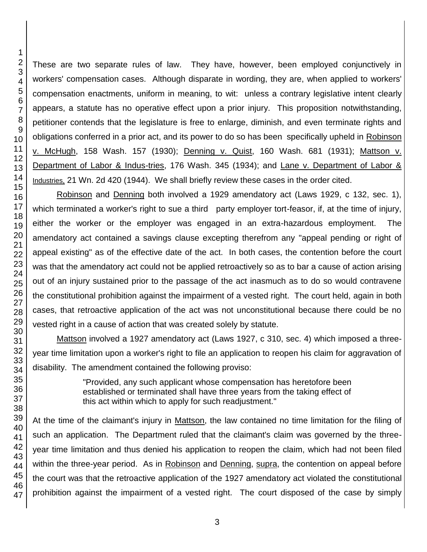These are two separate rules of law. They have, however, been employed conjunctively in workers' compensation cases. Although disparate in wording, they are, when applied to workers' compensation enactments, uniform in meaning, to wit: unless a contrary legislative intent clearly appears, a statute has no operative effect upon a prior injury. This proposition notwithstanding, petitioner contends that the legislature is free to enlarge, diminish, and even terminate rights and obligations conferred in a prior act, and its power to do so has been specifically upheld in Robinson v. McHugh, 158 Wash. 157 (1930); Denning v. Quist, 160 Wash. 681 (1931); Mattson v. Department of Labor & Indus-tries, 176 Wash. 345 (1934); and Lane v. Department of Labor & Industries, 21 Wn. 2d 420 (1944). We shall briefly review these cases in the order cited.

Robinson and Denning both involved a 1929 amendatory act (Laws 1929, c 132, sec. 1), which terminated a worker's right to sue a third party employer tort-feasor, if, at the time of injury, either the worker or the employer was engaged in an extra-hazardous employment. The amendatory act contained a savings clause excepting therefrom any "appeal pending or right of appeal existing" as of the effective date of the act. In both cases, the contention before the court was that the amendatory act could not be applied retroactively so as to bar a cause of action arising out of an injury sustained prior to the passage of the act inasmuch as to do so would contravene the constitutional prohibition against the impairment of a vested right. The court held, again in both cases, that retroactive application of the act was not unconstitutional because there could be no vested right in a cause of action that was created solely by statute.

Mattson involved a 1927 amendatory act (Laws 1927, c 310, sec. 4) which imposed a threeyear time limitation upon a worker's right to file an application to reopen his claim for aggravation of disability. The amendment contained the following proviso:

> "Provided, any such applicant whose compensation has heretofore been established or terminated shall have three years from the taking effect of this act within which to apply for such readjustment."

At the time of the claimant's injury in Mattson, the law contained no time limitation for the filing of such an application. The Department ruled that the claimant's claim was governed by the threeyear time limitation and thus denied his application to reopen the claim, which had not been filed within the three-year period. As in Robinson and Denning, supra, the contention on appeal before the court was that the retroactive application of the 1927 amendatory act violated the constitutional prohibition against the impairment of a vested right. The court disposed of the case by simply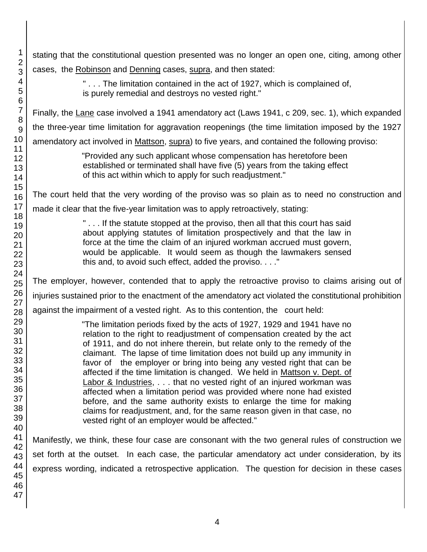1 2 3 4 5 6 7 8 9 10 11 12 13 14 15 16 17 18 19 20 21 22 23 24 25 26 27 28 29 30 31 32 33 34 35 36 37 38 39 40 41 42 43 44 45 46 47 stating that the constitutional question presented was no longer an open one, citing, among other cases, the Robinson and Denning cases, supra, and then stated: " . . . The limitation contained in the act of 1927, which is complained of, is purely remedial and destroys no vested right." Finally, the Lane case involved a 1941 amendatory act (Laws 1941, c 209, sec. 1), which expanded the three-year time limitation for aggravation reopenings (the time limitation imposed by the 1927 amendatory act involved in Mattson, supra) to five years, and contained the following proviso: "Provided any such applicant whose compensation has heretofore been established or terminated shall have five (5) years from the taking effect of this act within which to apply for such readjustment." The court held that the very wording of the proviso was so plain as to need no construction and made it clear that the five-year limitation was to apply retroactively, stating: " . . . If the statute stopped at the proviso, then all that this court has said about applying statutes of limitation prospectively and that the law in force at the time the claim of an injured workman accrued must govern, would be applicable. It would seem as though the lawmakers sensed this and, to avoid such effect, added the proviso. . . ." The employer, however, contended that to apply the retroactive proviso to claims arising out of injuries sustained prior to the enactment of the amendatory act violated the constitutional prohibition against the impairment of a vested right. As to this contention, the court held: "The limitation periods fixed by the acts of 1927, 1929 and 1941 have no relation to the right to readjustment of compensation created by the act of 1911, and do not inhere therein, but relate only to the remedy of the claimant. The lapse of time limitation does not build up any immunity in favor of the employer or bring into being any vested right that can be affected if the time limitation is changed. We held in Mattson v. Dept. of Labor & Industries, . . . that no vested right of an injured workman was affected when a limitation period was provided where none had existed before, and the same authority exists to enlarge the time for making claims for readjustment, and, for the same reason given in that case, no vested right of an employer would be affected." Manifestly, we think, these four case are consonant with the two general rules of construction we set forth at the outset. In each case, the particular amendatory act under consideration, by its express wording, indicated a retrospective application. The question for decision in these cases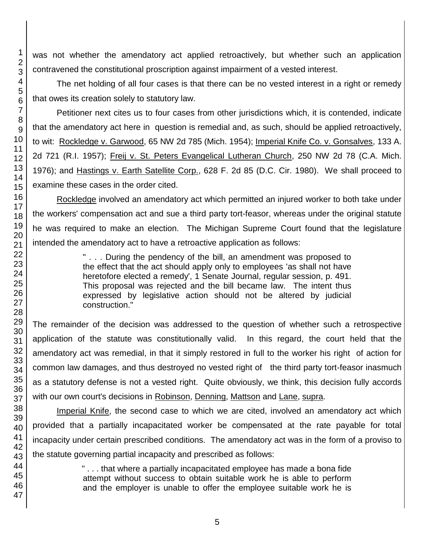was not whether the amendatory act applied retroactively, but whether such an application contravened the constitutional proscription against impairment of a vested interest.

The net holding of all four cases is that there can be no vested interest in a right or remedy that owes its creation solely to statutory law.

Petitioner next cites us to four cases from other jurisdictions which, it is contended, indicate that the amendatory act here in question is remedial and, as such, should be applied retroactively, to wit: Rockledge v. Garwood, 65 NW 2d 785 (Mich. 1954); Imperial Knife Co. v. Gonsalves, 133 A. 2d 721 (R.I. 1957); Freij v. St. Peters Evangelical Lutheran Church, 250 NW 2d 78 (C.A. Mich. 1976); and Hastings v. Earth Satellite Corp., 628 F. 2d 85 (D.C. Cir. 1980). We shall proceed to examine these cases in the order cited.

Rockledge involved an amendatory act which permitted an injured worker to both take under the workers' compensation act and sue a third party tort-feasor, whereas under the original statute he was required to make an election. The Michigan Supreme Court found that the legislature intended the amendatory act to have a retroactive application as follows:

> " . . . During the pendency of the bill, an amendment was proposed to the effect that the act should apply only to employees 'as shall not have heretofore elected a remedy', 1 Senate Journal, regular session, p. 491. This proposal was rejected and the bill became law. The intent thus expressed by legislative action should not be altered by judicial construction."

The remainder of the decision was addressed to the question of whether such a retrospective application of the statute was constitutionally valid. In this regard, the court held that the amendatory act was remedial, in that it simply restored in full to the worker his right of action for common law damages, and thus destroyed no vested right of the third party tort-feasor inasmuch as a statutory defense is not a vested right. Quite obviously, we think, this decision fully accords with our own court's decisions in Robinson, Denning, Mattson and Lane, supra.

Imperial Knife, the second case to which we are cited, involved an amendatory act which provided that a partially incapacitated worker be compensated at the rate payable for total incapacity under certain prescribed conditions. The amendatory act was in the form of a proviso to the statute governing partial incapacity and prescribed as follows:

> " . . . that where a partially incapacitated employee has made a bona fide attempt without success to obtain suitable work he is able to perform and the employer is unable to offer the employee suitable work he is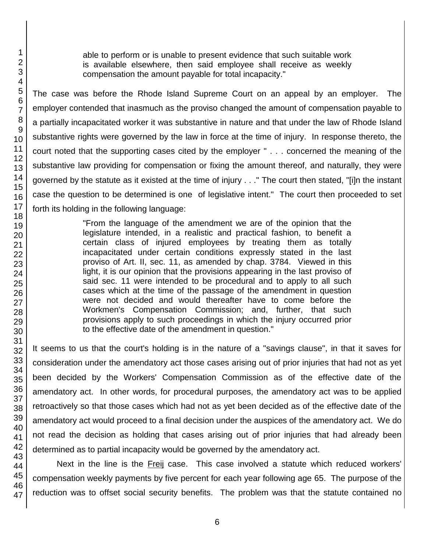able to perform or is unable to present evidence that such suitable work is available elsewhere, then said employee shall receive as weekly compensation the amount payable for total incapacity."

The case was before the Rhode Island Supreme Court on an appeal by an employer. The employer contended that inasmuch as the proviso changed the amount of compensation payable to a partially incapacitated worker it was substantive in nature and that under the law of Rhode Island substantive rights were governed by the law in force at the time of injury. In response thereto, the court noted that the supporting cases cited by the employer " . . . concerned the meaning of the substantive law providing for compensation or fixing the amount thereof, and naturally, they were governed by the statute as it existed at the time of injury . . ." The court then stated, "[i]n the instant case the question to be determined is one of legislative intent." The court then proceeded to set forth its holding in the following language:

> "From the language of the amendment we are of the opinion that the legislature intended, in a realistic and practical fashion, to benefit a certain class of injured employees by treating them as totally incapacitated under certain conditions expressly stated in the last proviso of Art. II, sec. 11, as amended by chap. 3784. Viewed in this light, it is our opinion that the provisions appearing in the last proviso of said sec. 11 were intended to be procedural and to apply to all such cases which at the time of the passage of the amendment in question were not decided and would thereafter have to come before the Workmen's Compensation Commission; and, further, that such provisions apply to such proceedings in which the injury occurred prior to the effective date of the amendment in question."

It seems to us that the court's holding is in the nature of a "savings clause", in that it saves for consideration under the amendatory act those cases arising out of prior injuries that had not as yet been decided by the Workers' Compensation Commission as of the effective date of the amendatory act. In other words, for procedural purposes, the amendatory act was to be applied retroactively so that those cases which had not as yet been decided as of the effective date of the amendatory act would proceed to a final decision under the auspices of the amendatory act. We do not read the decision as holding that cases arising out of prior injuries that had already been determined as to partial incapacity would be governed by the amendatory act.

Next in the line is the Freij case. This case involved a statute which reduced workers' compensation weekly payments by five percent for each year following age 65. The purpose of the reduction was to offset social security benefits. The problem was that the statute contained no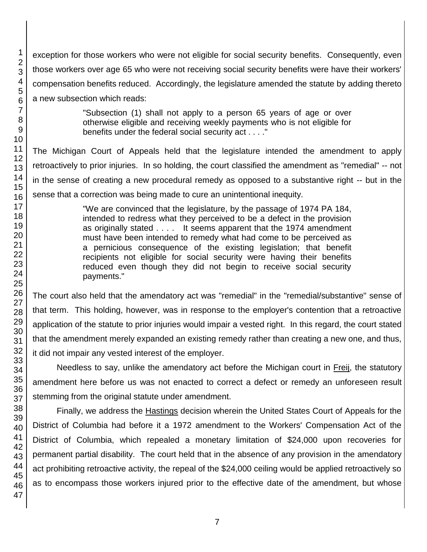exception for those workers who were not eligible for social security benefits. Consequently, even those workers over age 65 who were not receiving social security benefits were have their workers' compensation benefits reduced. Accordingly, the legislature amended the statute by adding thereto a new subsection which reads:

> "Subsection (1) shall not apply to a person 65 years of age or over otherwise eligible and receiving weekly payments who is not eligible for benefits under the federal social security act . . . ."

The Michigan Court of Appeals held that the legislature intended the amendment to apply retroactively to prior injuries. In so holding, the court classified the amendment as "remedial" -- not in the sense of creating a new procedural remedy as opposed to a substantive right -- but in the sense that a correction was being made to cure an unintentional inequity.

> "We are convinced that the legislature, by the passage of 1974 PA 184, intended to redress what they perceived to be a defect in the provision as originally stated . . . . It seems apparent that the 1974 amendment must have been intended to remedy what had come to be perceived as a pernicious consequence of the existing legislation; that benefit recipients not eligible for social security were having their benefits reduced even though they did not begin to receive social security payments."

The court also held that the amendatory act was "remedial" in the "remedial/substantive" sense of that term. This holding, however, was in response to the employer's contention that a retroactive application of the statute to prior injuries would impair a vested right. In this regard, the court stated that the amendment merely expanded an existing remedy rather than creating a new one, and thus, it did not impair any vested interest of the employer.

Needless to say, unlike the amendatory act before the Michigan court in Freij, the statutory amendment here before us was not enacted to correct a defect or remedy an unforeseen result stemming from the original statute under amendment.

Finally, we address the Hastings decision wherein the United States Court of Appeals for the District of Columbia had before it a 1972 amendment to the Workers' Compensation Act of the District of Columbia, which repealed a monetary limitation of \$24,000 upon recoveries for permanent partial disability. The court held that in the absence of any provision in the amendatory act prohibiting retroactive activity, the repeal of the \$24,000 ceiling would be applied retroactively so as to encompass those workers injured prior to the effective date of the amendment, but whose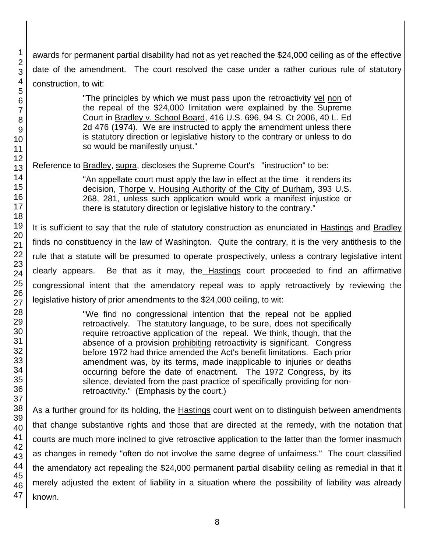awards for permanent partial disability had not as yet reached the \$24,000 ceiling as of the effective date of the amendment. The court resolved the case under a rather curious rule of statutory construction, to wit:

> "The principles by which we must pass upon the retroactivity vel non of the repeal of the \$24,000 limitation were explained by the Supreme Court in Bradley v. School Board, 416 U.S. 696, 94 S. Ct 2006, 40 L. Ed 2d 476 (1974). We are instructed to apply the amendment unless there is statutory direction or legislative history to the contrary or unless to do so would be manifestly unjust."

Reference to Bradley, supra, discloses the Supreme Court's "instruction" to be:

"An appellate court must apply the law in effect at the time it renders its decision, Thorpe v. Housing Authority of the City of Durham, 393 U.S. 268, 281, unless such application would work a manifest injustice or there is statutory direction or legislative history to the contrary."

It is sufficient to say that the rule of statutory construction as enunciated in Hastings and Bradley finds no constituency in the law of Washington. Quite the contrary, it is the very antithesis to the rule that a statute will be presumed to operate prospectively, unless a contrary legislative intent clearly appears. Be that as it may, the Hastings court proceeded to find an affirmative congressional intent that the amendatory repeal was to apply retroactively by reviewing the legislative history of prior amendments to the \$24,000 ceiling, to wit:

> "We find no congressional intention that the repeal not be applied retroactively. The statutory language, to be sure, does not specifically require retroactive application of the repeal. We think, though, that the absence of a provision prohibiting retroactivity is significant. Congress before 1972 had thrice amended the Act's benefit limitations. Each prior amendment was, by its terms, made inapplicable to injuries or deaths occurring before the date of enactment. The 1972 Congress, by its silence, deviated from the past practice of specifically providing for nonretroactivity." (Emphasis by the court.)

As a further ground for its holding, the Hastings court went on to distinguish between amendments that change substantive rights and those that are directed at the remedy, with the notation that courts are much more inclined to give retroactive application to the latter than the former inasmuch as changes in remedy "often do not involve the same degree of unfairness." The court classified the amendatory act repealing the \$24,000 permanent partial disability ceiling as remedial in that it merely adjusted the extent of liability in a situation where the possibility of liability was already known.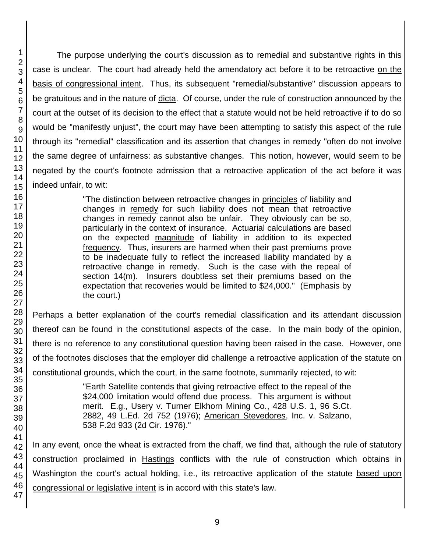1 The purpose underlying the court's discussion as to remedial and substantive rights in this case is unclear. The court had already held the amendatory act before it to be retroactive on the basis of congressional intent. Thus, its subsequent "remedial/substantive" discussion appears to be gratuitous and in the nature of dicta. Of course, under the rule of construction announced by the court at the outset of its decision to the effect that a statute would not be held retroactive if to do so would be "manifestly unjust", the court may have been attempting to satisfy this aspect of the rule through its "remedial" classification and its assertion that changes in remedy "often do not involve the same degree of unfairness: as substantive changes. This notion, however, would seem to be negated by the court's footnote admission that a retroactive application of the act before it was indeed unfair, to wit: "The distinction between retroactive changes in principles of liability and changes in remedy for such liability does not mean that retroactive

changes in remedy cannot also be unfair. They obviously can be so, particularly in the context of insurance. Actuarial calculations are based on the expected magnitude of liability in addition to its expected frequency. Thus, insurers are harmed when their past premiums prove to be inadequate fully to reflect the increased liability mandated by a retroactive change in remedy. Such is the case with the repeal of section 14(m). Insurers doubtless set their premiums based on the expectation that recoveries would be limited to \$24,000." (Emphasis by the court.)

Perhaps a better explanation of the court's remedial classification and its attendant discussion thereof can be found in the constitutional aspects of the case. In the main body of the opinion, there is no reference to any constitutional question having been raised in the case. However, one of the footnotes discloses that the employer did challenge a retroactive application of the statute on constitutional grounds, which the court, in the same footnote, summarily rejected, to wit:

> "Earth Satellite contends that giving retroactive effect to the repeal of the \$24,000 limitation would offend due process. This argument is without merit. E.g., Usery v. Turner Elkhorn Mining Co., 428 U.S. 1, 96 S.Ct. 2882, 49 L.Ed. 2d 752 (1976); American Stevedores, Inc. v. Salzano, 538 F.2d 933 (2d Cir. 1976)."

In any event, once the wheat is extracted from the chaff, we find that, although the rule of statutory construction proclaimed in Hastings conflicts with the rule of construction which obtains in Washington the court's actual holding, i.e., its retroactive application of the statute based upon congressional or legislative intent is in accord with this state's law.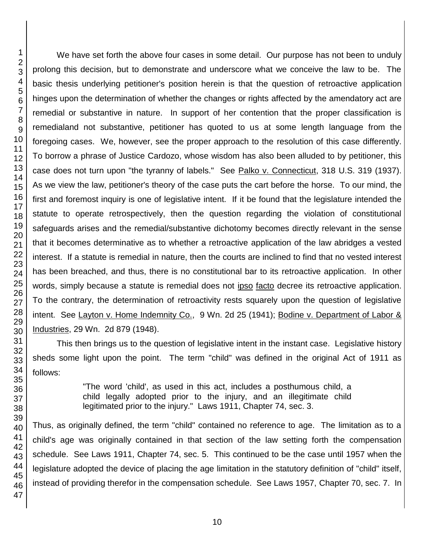We have set forth the above four cases in some detail. Our purpose has not been to unduly prolong this decision, but to demonstrate and underscore what we conceive the law to be. The basic thesis underlying petitioner's position herein is that the question of retroactive application hinges upon the determination of whether the changes or rights affected by the amendatory act are remedial or substantive in nature. In support of her contention that the proper classification is remedialand not substantive, petitioner has quoted to us at some length language from the foregoing cases. We, however, see the proper approach to the resolution of this case differently. To borrow a phrase of Justice Cardozo, whose wisdom has also been alluded to by petitioner, this case does not turn upon "the tyranny of labels." See Palko v. Connecticut, 318 U.S. 319 (1937). As we view the law, petitioner's theory of the case puts the cart before the horse. To our mind, the first and foremost inquiry is one of legislative intent. If it be found that the legislature intended the statute to operate retrospectively, then the question regarding the violation of constitutional safeguards arises and the remedial/substantive dichotomy becomes directly relevant in the sense that it becomes determinative as to whether a retroactive application of the law abridges a vested interest. If a statute is remedial in nature, then the courts are inclined to find that no vested interest has been breached, and thus, there is no constitutional bar to its retroactive application. In other words, simply because a statute is remedial does not ipso facto decree its retroactive application. To the contrary, the determination of retroactivity rests squarely upon the question of legislative intent. See Layton v. Home Indemnity Co., 9 Wn. 2d 25 (1941); Bodine v. Department of Labor & Industries, 29 Wn. 2d 879 (1948).

This then brings us to the question of legislative intent in the instant case. Legislative history sheds some light upon the point. The term "child" was defined in the original Act of 1911 as follows:

> "The word 'child', as used in this act, includes a posthumous child, a child legally adopted prior to the injury, and an illegitimate child legitimated prior to the injury." Laws 1911, Chapter 74, sec. 3.

Thus, as originally defined, the term "child" contained no reference to age. The limitation as to a child's age was originally contained in that section of the law setting forth the compensation schedule. See Laws 1911, Chapter 74, sec. 5. This continued to be the case until 1957 when the legislature adopted the device of placing the age limitation in the statutory definition of "child" itself, instead of providing therefor in the compensation schedule. See Laws 1957, Chapter 70, sec. 7. In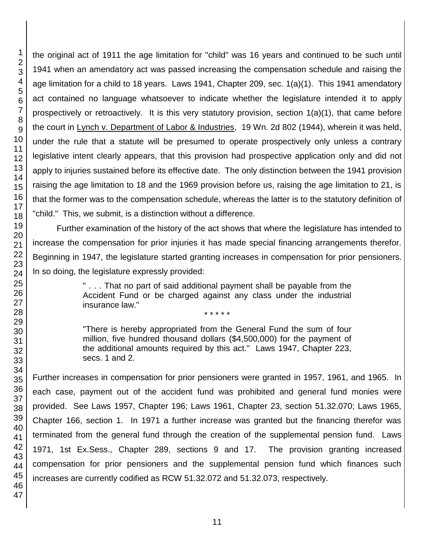1 2 the original act of 1911 the age limitation for "child" was 16 years and continued to be such until 1941 when an amendatory act was passed increasing the compensation schedule and raising the age limitation for a child to 18 years. Laws 1941, Chapter 209, sec. 1(a)(1). This 1941 amendatory act contained no language whatsoever to indicate whether the legislature intended it to apply prospectively or retroactively. It is this very statutory provision, section 1(a)(1), that came before the court in Lynch v. Department of Labor & Industries, 19 Wn. 2d 802 (1944), wherein it was held, under the rule that a statute will be presumed to operate prospectively only unless a contrary legislative intent clearly appears, that this provision had prospective application only and did not apply to injuries sustained before its effective date. The only distinction between the 1941 provision raising the age limitation to 18 and the 1969 provision before us, raising the age limitation to 21, is that the former was to the compensation schedule, whereas the latter is to the statutory definition of "child." This, we submit, is a distinction without a difference. Further examination of the history of the act shows that where the legislature has intended to increase the compensation for prior injuries it has made special financing arrangements therefor.

Beginning in 1947, the legislature started granting increases in compensation for prior pensioners. In so doing, the legislature expressly provided:

> " . . . That no part of said additional payment shall be payable from the Accident Fund or be charged against any class under the industrial insurance law."

\* \* \* \* \*

"There is hereby appropriated from the General Fund the sum of four million, five hundred thousand dollars (\$4,500,000) for the payment of the additional amounts required by this act." Laws 1947, Chapter 223, secs. 1 and 2.

Further increases in compensation for prior pensioners were granted in 1957, 1961, and 1965. In each case, payment out of the accident fund was prohibited and general fund monies were provided. See Laws 1957, Chapter 196; Laws 1961, Chapter 23, section 51.32.070; Laws 1965, Chapter 166, section 1. In 1971 a further increase was granted but the financing therefor was terminated from the general fund through the creation of the supplemental pension fund. Laws 1971, 1st Ex.Sess., Chapter 289, sections 9 and 17. The provision granting increased compensation for prior pensioners and the supplemental pension fund which finances such increases are currently codified as RCW 51.32.072 and 51.32.073, respectively.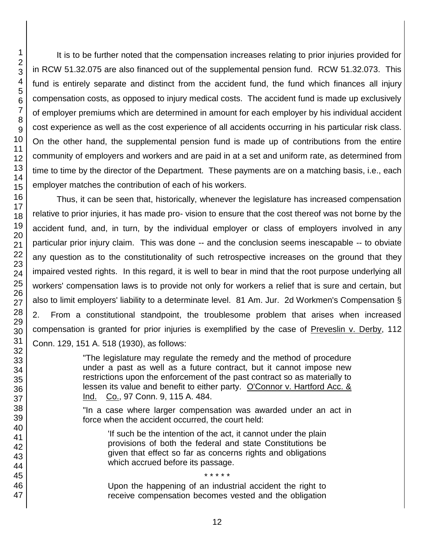It is to be further noted that the compensation increases relating to prior injuries provided for in RCW 51.32.075 are also financed out of the supplemental pension fund. RCW 51.32.073. This fund is entirely separate and distinct from the accident fund, the fund which finances all injury compensation costs, as opposed to injury medical costs. The accident fund is made up exclusively of employer premiums which are determined in amount for each employer by his individual accident cost experience as well as the cost experience of all accidents occurring in his particular risk class. On the other hand, the supplemental pension fund is made up of contributions from the entire community of employers and workers and are paid in at a set and uniform rate, as determined from time to time by the director of the Department. These payments are on a matching basis, i.e., each employer matches the contribution of each of his workers.

Thus, it can be seen that, historically, whenever the legislature has increased compensation relative to prior injuries, it has made pro- vision to ensure that the cost thereof was not borne by the accident fund, and, in turn, by the individual employer or class of employers involved in any particular prior injury claim. This was done -- and the conclusion seems inescapable -- to obviate any question as to the constitutionality of such retrospective increases on the ground that they impaired vested rights. In this regard, it is well to bear in mind that the root purpose underlying all workers' compensation laws is to provide not only for workers a relief that is sure and certain, but also to limit employers' liability to a determinate level. 81 Am. Jur. 2d Workmen's Compensation § 2. From a constitutional standpoint, the troublesome problem that arises when increased compensation is granted for prior injuries is exemplified by the case of Preveslin v. Derby, 112 Conn. 129, 151 A. 518 (1930), as follows:

> "The legislature may regulate the remedy and the method of procedure under a past as well as a future contract, but it cannot impose new restrictions upon the enforcement of the past contract so as materially to lessen its value and benefit to either party. O'Connor v. Hartford Acc. & Ind. Co., 97 Conn. 9, 115 A. 484.

> "In a case where larger compensation was awarded under an act in force when the accident occurred, the court held:

'If such be the intention of the act, it cannot under the plain provisions of both the federal and state Constitutions be given that effect so far as concerns rights and obligations which accrued before its passage.

Upon the happening of an industrial accident the right to receive compensation becomes vested and the obligation

\* \* \* \* \*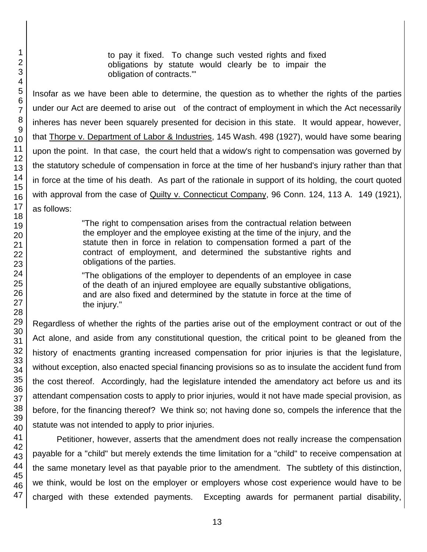to pay it fixed. To change such vested rights and fixed obligations by statute would clearly be to impair the obligation of contracts.'"

Insofar as we have been able to determine, the question as to whether the rights of the parties under our Act are deemed to arise out of the contract of employment in which the Act necessarily inheres has never been squarely presented for decision in this state. It would appear, however, that Thorpe v. Department of Labor & Industries, 145 Wash. 498 (1927), would have some bearing upon the point. In that case, the court held that a widow's right to compensation was governed by the statutory schedule of compensation in force at the time of her husband's injury rather than that in force at the time of his death. As part of the rationale in support of its holding, the court quoted with approval from the case of Quilty v. Connecticut Company, 96 Conn. 124, 113 A. 149 (1921), as follows:

> "The right to compensation arises from the contractual relation between the employer and the employee existing at the time of the injury, and the statute then in force in relation to compensation formed a part of the contract of employment, and determined the substantive rights and obligations of the parties.

> "The obligations of the employer to dependents of an employee in case of the death of an injured employee are equally substantive obligations, and are also fixed and determined by the statute in force at the time of the injury."

Regardless of whether the rights of the parties arise out of the employment contract or out of the Act alone, and aside from any constitutional question, the critical point to be gleaned from the history of enactments granting increased compensation for prior injuries is that the legislature, without exception, also enacted special financing provisions so as to insulate the accident fund from the cost thereof. Accordingly, had the legislature intended the amendatory act before us and its attendant compensation costs to apply to prior injuries, would it not have made special provision, as before, for the financing thereof? We think so; not having done so, compels the inference that the statute was not intended to apply to prior injuries.

Petitioner, however, asserts that the amendment does not really increase the compensation payable for a "child" but merely extends the time limitation for a "child" to receive compensation at the same monetary level as that payable prior to the amendment. The subtlety of this distinction, we think, would be lost on the employer or employers whose cost experience would have to be charged with these extended payments. Excepting awards for permanent partial disability,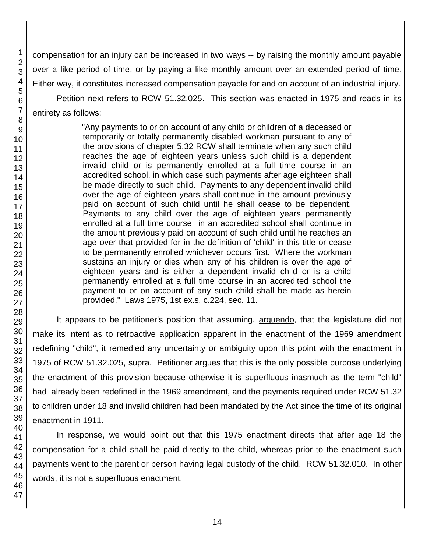compensation for an injury can be increased in two ways -- by raising the monthly amount payable over a like period of time, or by paying a like monthly amount over an extended period of time. Either way, it constitutes increased compensation payable for and on account of an industrial injury.

Petition next refers to RCW 51.32.025. This section was enacted in 1975 and reads in its entirety as follows:

> "Any payments to or on account of any child or children of a deceased or temporarily or totally permanently disabled workman pursuant to any of the provisions of chapter 5.32 RCW shall terminate when any such child reaches the age of eighteen years unless such child is a dependent invalid child or is permanently enrolled at a full time course in an accredited school, in which case such payments after age eighteen shall be made directly to such child. Payments to any dependent invalid child over the age of eighteen years shall continue in the amount previously paid on account of such child until he shall cease to be dependent. Payments to any child over the age of eighteen years permanently enrolled at a full time course in an accredited school shall continue in the amount previously paid on account of such child until he reaches an age over that provided for in the definition of 'child' in this title or cease to be permanently enrolled whichever occurs first. Where the workman sustains an injury or dies when any of his children is over the age of eighteen years and is either a dependent invalid child or is a child permanently enrolled at a full time course in an accredited school the payment to or on account of any such child shall be made as herein provided." Laws 1975, 1st ex.s. c.224, sec. 11.

It appears to be petitioner's position that assuming, arguendo, that the legislature did not make its intent as to retroactive application apparent in the enactment of the 1969 amendment redefining "child", it remedied any uncertainty or ambiguity upon this point with the enactment in 1975 of RCW 51.32.025, supra. Petitioner argues that this is the only possible purpose underlying the enactment of this provision because otherwise it is superfluous inasmuch as the term "child" had already been redefined in the 1969 amendment, and the payments required under RCW 51.32 to children under 18 and invalid children had been mandated by the Act since the time of its original enactment in 1911.

In response, we would point out that this 1975 enactment directs that after age 18 the compensation for a child shall be paid directly to the child, whereas prior to the enactment such payments went to the parent or person having legal custody of the child. RCW 51.32.010. In other words, it is not a superfluous enactment.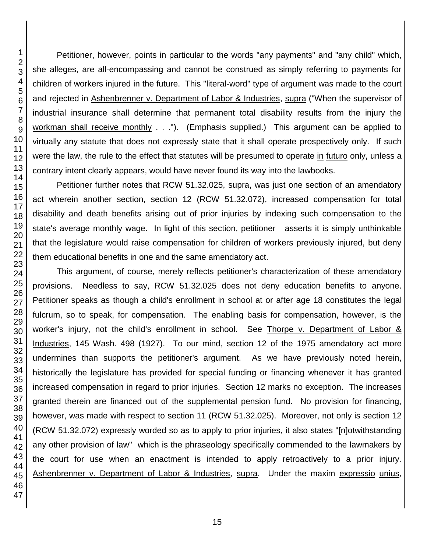Petitioner, however, points in particular to the words "any payments" and "any child" which, she alleges, are all-encompassing and cannot be construed as simply referring to payments for children of workers injured in the future. This "literal-word" type of argument was made to the court and rejected in Ashenbrenner v. Department of Labor & Industries, supra ("When the supervisor of industrial insurance shall determine that permanent total disability results from the injury the workman shall receive monthly . . ."). (Emphasis supplied.) This argument can be applied to virtually any statute that does not expressly state that it shall operate prospectively only. If such were the law, the rule to the effect that statutes will be presumed to operate in futuro only, unless a contrary intent clearly appears, would have never found its way into the lawbooks.

Petitioner further notes that RCW 51.32.025, supra, was just one section of an amendatory act wherein another section, section 12 (RCW 51.32.072), increased compensation for total disability and death benefits arising out of prior injuries by indexing such compensation to the state's average monthly wage. In light of this section, petitioner asserts it is simply unthinkable that the legislature would raise compensation for children of workers previously injured, but deny them educational benefits in one and the same amendatory act.

This argument, of course, merely reflects petitioner's characterization of these amendatory provisions. Needless to say, RCW 51.32.025 does not deny education benefits to anyone. Petitioner speaks as though a child's enrollment in school at or after age 18 constitutes the legal fulcrum, so to speak, for compensation. The enabling basis for compensation, however, is the worker's injury, not the child's enrollment in school. See Thorpe v. Department of Labor & Industries, 145 Wash. 498 (1927). To our mind, section 12 of the 1975 amendatory act more undermines than supports the petitioner's argument. As we have previously noted herein, historically the legislature has provided for special funding or financing whenever it has granted increased compensation in regard to prior injuries. Section 12 marks no exception. The increases granted therein are financed out of the supplemental pension fund. No provision for financing, however, was made with respect to section 11 (RCW 51.32.025). Moreover, not only is section 12 (RCW 51.32.072) expressly worded so as to apply to prior injuries, it also states "[n]otwithstanding any other provision of law" which is the phraseology specifically commended to the lawmakers by the court for use when an enactment is intended to apply retroactively to a prior injury. Ashenbrenner v. Department of Labor & Industries, supra. Under the maxim expressio unius,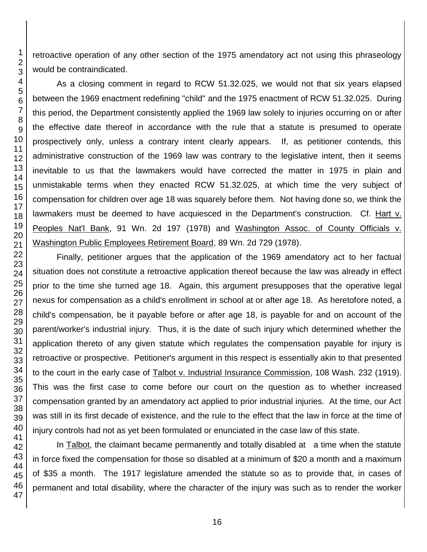retroactive operation of any other section of the 1975 amendatory act not using this phraseology would be contraindicated.

As a closing comment in regard to RCW 51.32.025, we would not that six years elapsed between the 1969 enactment redefining "child" and the 1975 enactment of RCW 51.32.025. During this period, the Department consistently applied the 1969 law solely to injuries occurring on or after the effective date thereof in accordance with the rule that a statute is presumed to operate prospectively only, unless a contrary intent clearly appears. If, as petitioner contends, this administrative construction of the 1969 law was contrary to the legislative intent, then it seems inevitable to us that the lawmakers would have corrected the matter in 1975 in plain and unmistakable terms when they enacted RCW 51.32.025, at which time the very subject of compensation for children over age 18 was squarely before them. Not having done so, we think the lawmakers must be deemed to have acquiesced in the Department's construction. Cf. Hart v. Peoples Nat'l Bank, 91 Wn. 2d 197 (1978) and Washington Assoc. of County Officials v. Washington Public Employees Retirement Board, 89 Wn. 2d 729 (1978).

Finally, petitioner argues that the application of the 1969 amendatory act to her factual situation does not constitute a retroactive application thereof because the law was already in effect prior to the time she turned age 18. Again, this argument presupposes that the operative legal nexus for compensation as a child's enrollment in school at or after age 18. As heretofore noted, a child's compensation, be it payable before or after age 18, is payable for and on account of the parent/worker's industrial injury. Thus, it is the date of such injury which determined whether the application thereto of any given statute which regulates the compensation payable for injury is retroactive or prospective. Petitioner's argument in this respect is essentially akin to that presented to the court in the early case of Talbot v. Industrial Insurance Commission, 108 Wash. 232 (1919). This was the first case to come before our court on the question as to whether increased compensation granted by an amendatory act applied to prior industrial injuries. At the time, our Act was still in its first decade of existence, and the rule to the effect that the law in force at the time of injury controls had not as yet been formulated or enunciated in the case law of this state.

In Talbot, the claimant became permanently and totally disabled at a time when the statute in force fixed the compensation for those so disabled at a minimum of \$20 a month and a maximum of \$35 a month. The 1917 legislature amended the statute so as to provide that, in cases of permanent and total disability, where the character of the injury was such as to render the worker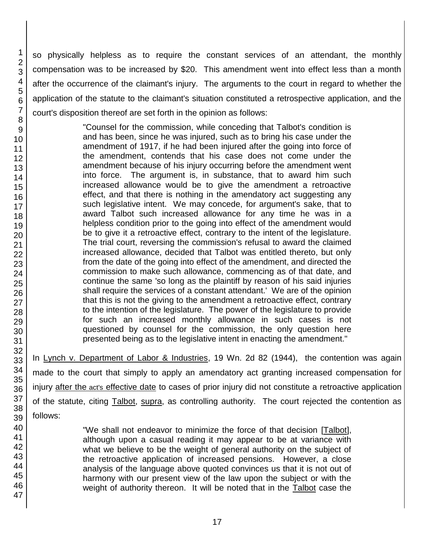so physically helpless as to require the constant services of an attendant, the monthly compensation was to be increased by \$20. This amendment went into effect less than a month after the occurrence of the claimant's injury. The arguments to the court in regard to whether the application of the statute to the claimant's situation constituted a retrospective application, and the court's disposition thereof are set forth in the opinion as follows:

> "Counsel for the commission, while conceding that Talbot's condition is and has been, since he was injured, such as to bring his case under the amendment of 1917, if he had been injured after the going into force of the amendment, contends that his case does not come under the amendment because of his injury occurring before the amendment went into force. The argument is, in substance, that to award him such increased allowance would be to give the amendment a retroactive effect, and that there is nothing in the amendatory act suggesting any such legislative intent. We may concede, for argument's sake, that to award Talbot such increased allowance for any time he was in a helpless condition prior to the going into effect of the amendment would be to give it a retroactive effect, contrary to the intent of the legislature. The trial court, reversing the commission's refusal to award the claimed increased allowance, decided that Talbot was entitled thereto, but only from the date of the going into effect of the amendment, and directed the commission to make such allowance, commencing as of that date, and continue the same 'so long as the plaintiff by reason of his said injuries shall require the services of a constant attendant.' We are of the opinion that this is not the giving to the amendment a retroactive effect, contrary to the intention of the legislature. The power of the legislature to provide for such an increased monthly allowance in such cases is not questioned by counsel for the commission, the only question here presented being as to the legislative intent in enacting the amendment."

In Lynch v. Department of Labor & Industries, 19 Wn. 2d 82 (1944), the contention was again made to the court that simply to apply an amendatory act granting increased compensation for injury after the act's effective date to cases of prior injury did not constitute a retroactive application of the statute, citing Talbot, supra, as controlling authority. The court rejected the contention as follows:

> "We shall not endeavor to minimize the force of that decision [Talbot], although upon a casual reading it may appear to be at variance with what we believe to be the weight of general authority on the subject of the retroactive application of increased pensions. However, a close analysis of the language above quoted convinces us that it is not out of harmony with our present view of the law upon the subject or with the weight of authority thereon. It will be noted that in the Talbot case the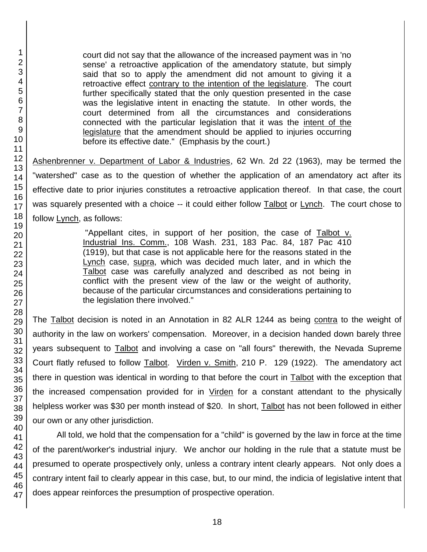court did not say that the allowance of the increased payment was in 'no sense' a retroactive application of the amendatory statute, but simply said that so to apply the amendment did not amount to giving it a retroactive effect contrary to the intention of the legislature. The court further specifically stated that the only question presented in the case was the legislative intent in enacting the statute. In other words, the court determined from all the circumstances and considerations connected with the particular legislation that it was the intent of the legislature that the amendment should be applied to injuries occurring before its effective date." (Emphasis by the court.)

Ashenbrenner v. Department of Labor & Industries, 62 Wn. 2d 22 (1963), may be termed the "watershed" case as to the question of whether the application of an amendatory act after its effective date to prior injuries constitutes a retroactive application thereof. In that case, the court was squarely presented with a choice -- it could either follow Talbot or Lynch. The court chose to follow Lynch, as follows:

> "Appellant cites, in support of her position, the case of Talbot v. Industrial Ins. Comm., 108 Wash. 231, 183 Pac. 84, 187 Pac 410 (1919), but that case is not applicable here for the reasons stated in the Lynch case, supra, which was decided much later, and in which the Talbot case was carefully analyzed and described as not being in conflict with the present view of the law or the weight of authority, because of the particular circumstances and considerations pertaining to the legislation there involved."

The Talbot decision is noted in an Annotation in 82 ALR 1244 as being contra to the weight of authority in the law on workers' compensation. Moreover, in a decision handed down barely three years subsequent to **Talbot** and involving a case on "all fours" therewith, the Nevada Supreme Court flatly refused to follow Talbot. Virden v. Smith, 210 P. 129 (1922). The amendatory act there in question was identical in wording to that before the court in Talbot with the exception that the increased compensation provided for in Virden for a constant attendant to the physically helpless worker was \$30 per month instead of \$20. In short, Talbot has not been followed in either our own or any other jurisdiction.

All told, we hold that the compensation for a "child" is governed by the law in force at the time of the parent/worker's industrial injury. We anchor our holding in the rule that a statute must be presumed to operate prospectively only, unless a contrary intent clearly appears. Not only does a contrary intent fail to clearly appear in this case, but, to our mind, the indicia of legislative intent that does appear reinforces the presumption of prospective operation.